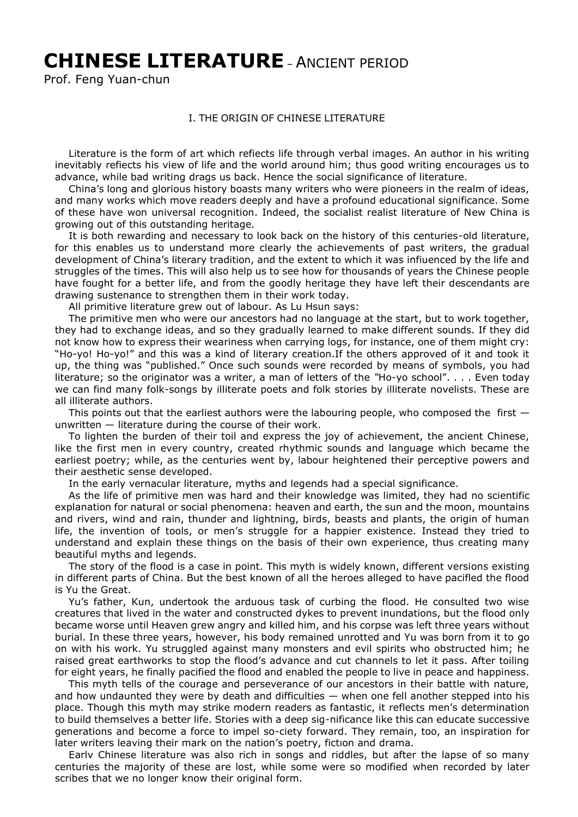# **CHINESE LITERATURE**– ANCIENT PERIOD

Prof. Feng Yuan-chun

### I. THE ORIGIN OF CHINESE LITERATURE

Literature is the form of art which refiects life through verbal images. An author in his writing inevitably refiects his view of life and the world around him; thus good writing encourages us to advance, while bad writing drags us back. Hence the social significance of literature.

China's long and glorious history boasts many writers who were pioneers in the realm of ideas, and many works which move readers deeply and have a profound educational significance. Some of these have won universal recognition. Indeed, the socialist realist literature of New China is growing out of this outstanding heritage.

It is both rewarding and necessary to look back on the history of this centuries-old literature, for this enables us to understand more clearly the achievements of past writers, the gradual development of China's literary tradition, and the extent to which it was infiuenced by the life and struggles of the times. This will also help us to see how for thousands of years the Chinese people have fought for a better life, and from the goodly heritage they have left their descendants are drawing sustenance to strengthen them in their work today.

All primitive literature grew out of labour. As Lu Hsun says:

The primitive men who were our ancestors had no language at the start, but to work together, they had to exchange ideas, and so they gradually learned to make different sounds. If they did not know how to express their weariness when carrying logs, for instance, one of them might cry: "Ho-yo! Ho-yo!" and this was a kind of literary creation.If the others approved of it and took it up, the thing was "published." Once such sounds were recorded by means of symbols, you had literature; so the originator was a writer, a man of letters of the *"*Ho-yo school". . . . Even today we can find many folk-songs by illiterate poets and folk stories by illiterate novelists. These are all illiterate authors.

This points out that the earliest authors were the labouring people, who composed the first  $$ unwritten — literature during the course of their work.

To lighten the burden of their toil and express the joy of achievement, the ancient Chinese, like the first men in every country, created rhythmic sounds and language which became the earliest poetry; while, as the centuries went by, labour heightened their perceptive powers and their aesthetic sense developed.

In the early vernacular literature, myths and legends had a special significance.

As the life of primitive men was hard and their knowledge was limited, they had no scientific explanation for natural or social phenomena: heaven and earth, the sun and the moon, mountains and rivers, wind and rain, thunder and lightning, birds, beasts and plants, the origin of human life, the invention of tools, or men's struggle for a happier existence. Instead they tried to understand and explain these things on the basis of their own experience, thus creating many beautiful myths and legends.

The story of the flood is a case in point. This myth is widely known, different versions existing in different parts of China. But the best known of all the heroes alleged to have pacifled the flood is Yu the Great.

Yu's father, Kun, undertook the arduous task of curbing the flood. He consulted two wise creatures that lived in the water and constructed dykes to prevent inundations, but the flood only became worse until Heaven grew angry and killed him, and his corpse was left three years without burial. In these three years, however, his body remained unrotted and Yu was born from it to go on with his work. Yu struggled against many monsters and evil spirits who obstructed him; he raised great earthworks to stop the flood's advance and cut channels to let it pass. After toiling for eight years, he finally pacified the flood and enabled the people to live in peace and happiness.

This myth tells of the courage and perseverance of our ancestors in their battle with nature, and how undaunted they were by death and difficulties — when one fell another stepped into his place. Though this myth may strike modern readers as fantastic, it reflects men's determination to build themselves a better life. Stories with a deep sig-nificance like this can educate successive generations and become a force to impel so-ciety forward. They remain, too, an inspiration for later writers leaving their mark on the nation's poetry, fictıon and drama.

Earlv Chinese literature was also rich in songs and riddles, but after the lapse of so many centuries the majority of these are lost, while some were so modified when recorded by later scribes that we no longer know their original form.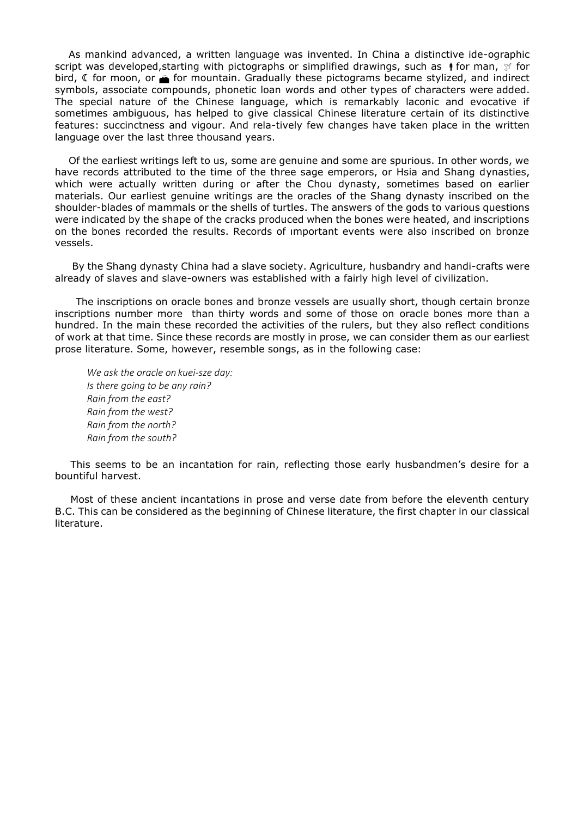As mankind advanced, a written language was invented. In China a distinctive ide-ographic script was developed, starting with pictographs or simplified drawings, such as  $\mathbf{\dagger}$  for man,  $\mathcal{G}$  for bird,  $\mathfrak C$  for moon, or  $\mathfrak F$  for mountain. Gradually these pictograms became stylized, and indirect symbols, associate compounds, phonetic loan words and other types of characters were added. The special nature of the Chinese language, which is remarkably laconic and evocative if sometimes ambiguous, has helped to give classical Chinese literature certain of its distinctive features: succinctness and vigour. And rela-tively few changes have taken place in the written language over the last three thousand years.

Of the earliest writings left to us, some are genuine and some are spurious. In other words, we have records attributed to the time of the three sage emperors, or Hsia and Shang dynasties, which were actually written during or after the Chou dynasty, sometimes based on earlier materials. Our earliest genuine writings are the oracles of the Shang dynasty inscribed on the shoulder-blades of mammals or the shells of turtles. The answers of the gods to various questions were indicated by the shape of the cracks produced when the bones were heated, and inscriptions on the bones recorded the results. Records of ımportant events were also inscribed on bronze vessels.

By the Shang dynasty China had a slave society. Agriculture, husbandry and handi-crafts were already of slaves and slave-owners was established with a fairly high level of civilization.

The inscriptions on oracle bones and bronze vessels are usually short, though certain bronze inscriptions number more than thirty words and some of those on oracle bones more than a hundred. In the main these recorded the activities of the rulers, but they also reflect conditions of work at that time. Since these records are mostly in prose, we can consider them as our earliest prose literature. Some, however, resemble songs, as in the following case:

*We ask the oracle on kuei-sze day: Is there going to be any rain? Rain from the east? Rain from the west? Rain from the north? Rain from the south?*

This seems to be an incantation for rain, reflecting those early husbandmen's desire for a bountiful harvest.

Most of these ancient incantations in prose and verse date from before the eleventh century B.C. This can be considered as the beginning of Chinese literature, the first chapter in our classical literature.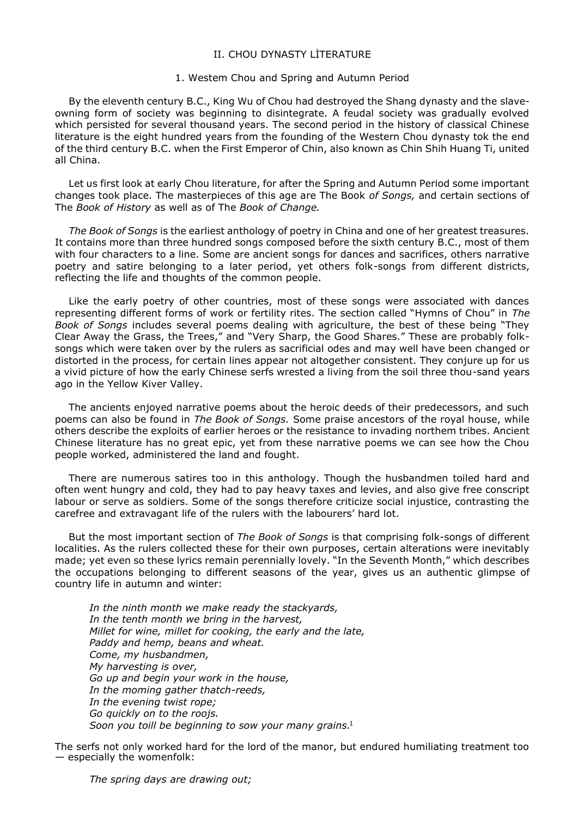### II. CHOU DYNASTY LİTERATURE

#### 1. Westem Chou and Spring and Autumn Period

By the eleventh century B.C., King Wu of Chou had destroyed the Shang dynasty and the slaveowning form of society was beginning to disintegrate. A feudal society was gradually evolved which persisted for several thousand years. The second period in the history of classical Chinese literature is the eight hundred years from the founding of the Western Chou dynasty tok the end of the third century B.C. when the First Emperor of Chin, also known as Chin Shih Huang Ti, united all China.

Let us first look at early Chou literature, for after the Spring and Autumn Period some important changes took place. The masterpieces of this age are The Book *of Songs,* and certain sections of The *Book of History* as well as of The *Book of Change.*

*The Book of Songs* is the earliest anthology of poetry in China and one of her greatest treasures. It contains more than three hundred songs composed before the sixth century B.C., most of them with four characters to a line. Some are ancient songs for dances and sacrifices, others narrative poetry and satire belonging to a later period, yet others folk-songs from different districts, reflecting the life and thoughts of the common people.

Like the early poetry of other countries, most of these songs were associated with dances representing different forms of work or fertility rites. The section called "Hymns of Chou" in *The Book of Songs* includes several poems dealing with agriculture, the best of these being "They Clear Away the Grass, the Trees," and "Very Sharp, the Good Shares." These are probably folksongs which were taken over by the rulers as sacrificial odes and may well have been changed or distorted in the process, for certain lines appear not altogether consistent. They conjure up for us a vivid picture of how the early Chinese serfs wrested a living from the soil three thou-sand years ago in the Yellow Kiver Valley.

The ancients enjoyed narrative poems about the heroic deeds of their predecessors, and such poems can also be found in *The Book of Songs.* Some praise ancestors of the royal house, while others describe the exploits of earlier heroes or the resistance to invading northem tribes. Ancient Chinese literature has no great epic, yet from these narrative poems we can see how the Chou people worked, administered the land and fought.

There are numerous satires too in this anthology. Though the husbandmen toiled hard and often went hungry and cold, they had to pay heavy taxes and levies, and also give free conscript labour or serve as soldiers. Some of the songs therefore criticize social injustice, contrasting the carefree and extravagant life of the rulers with the labourers' hard lot.

But the most important section of *The Book of Songs* is that comprising folk-songs of different localities. As the rulers collected these for their own purposes, certain alterations were inevitably made; yet even so these lyrics remain perennially lovely. "In the Seventh Month," which describes the occupations belonging to different seasons of the year, gives us an authentic glimpse of country life in autumn and winter:

*In the ninth month we make ready the stackyards, In the tenth month we bring in the harvest, Millet for wine, millet for cooking, the early and the late, Paddy and hemp, beans and wheat. Come, my husbandmen, My harvesting is over, Go up and begin your work in the house, In the moming gather thatch-reeds, In the evening twist rope; Go quickly on to the roojs. Soon you toill be beginning to sow your many grains.* 1

The serfs not only worked hard for the lord of the manor, but endured humiliating treatment too — especially the womenfolk: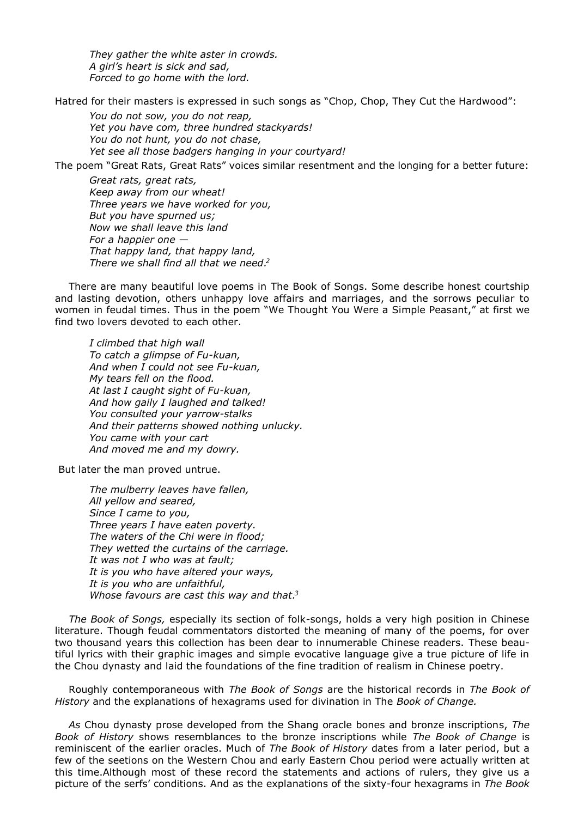*They gather the white aster in crowds. A girl's heart is sick and sad, Forced to go home with the lord.*

Hatred for their masters is expressed in such songs as "Chop, Chop, They Cut the Hardwood":

*You do not sow, you do not reap, Yet you have com, three hundred stackyards! You do not hunt, you do not chase, Yet see all those badgers hanging in your courtyard!*

The poem "Great Rats, Great Rats" voices similar resentment and the longing for a better future:

*Great rats, great rats, Keep away from our wheat! Three years we have worked for you, But you have spurned us; Now we shall leave this land For a happier one — That happy land, that happy land, There we shall find all that we need. 2*

There are many beautiful love poems in The Book of Songs. Some describe honest courtship and lasting devotion, others unhappy love affairs and marriages, and the sorrows peculiar to women in feudal times. Thus in the poem "We Thought You Were a Simple Peasant," at first we find two lovers devoted to each other.

*I climbed that high wall To catch a glimpse of Fu-kuan, And when I could not see Fu-kuan, My tears fell on the flood. At last I caught sight of Fu-kuan, And how gaily I laughed and talked! You consulted your yarrow-stalks And their patterns showed nothing unlucky. You came with your cart And moved me and my dowry.*

But later the man proved untrue.

*The mulberry leaves have fallen, All yellow and seared, Since I came to you, Three years I have eaten poverty. The waters of the Chi were in flood; They wetted the curtains of the carriage. It was not I who was at fault; It is you who have altered your ways, It is you who are unfaithful, Whose favours are cast this way and that. 3*

*The Book of Songs,* especially its section of folk-songs, holds a very high position in Chinese literature. Though feudal commentators distorted the meaning of many of the poems, for over two thousand years this collection has been dear to innumerable Chinese readers. These beautiful lyrics with their graphic images and simple evocative language give a true picture of life in the Chou dynasty and laid the foundations of the fine tradition of realism in Chinese poetry.

Roughly contemporaneous with *The Book of Songs* are the historical records in *The Book of History* and the explanations of hexagrams used for divination in The *Book of Change.*

*As* Chou dynasty prose developed from the Shang oracle bones and bronze inscriptions, *The Book of History* shows resemblances to the bronze inscriptions while *The Book of Change* is reminiscent of the earlier oracles. Much of *The Book of History* dates from a later period, but a few of the seetions on the Western Chou and early Eastern Chou period were actually written at this time.Although most of these record the statements and actions of rulers, they give us a picture of the serfs' conditions. And as the explanations of the sixty-four hexagrams in *The Book*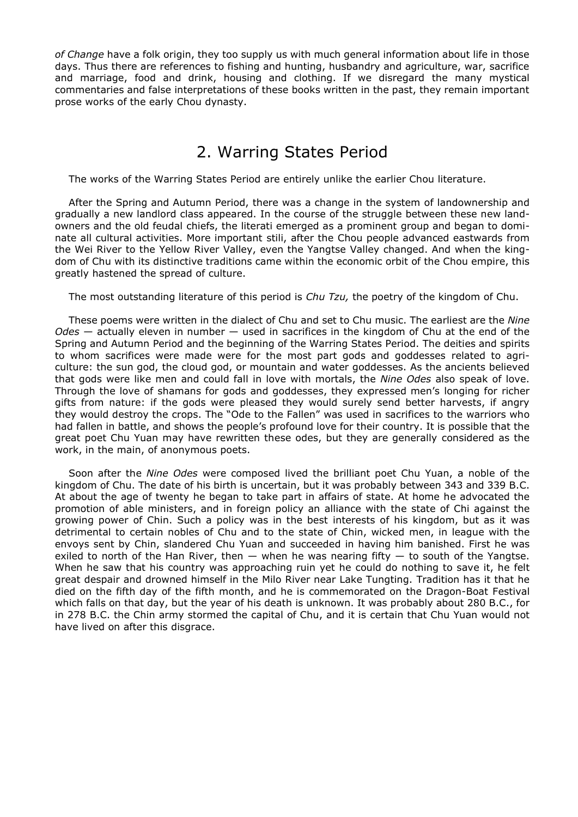*of Change* have a folk origin, they too supply us with much general information about life in those days. Thus there are references to fishing and hunting, husbandry and agriculture, war, sacrifice and marriage, food and drink, housing and clothing. If we disregard the many mystical commentaries and false interpretations of these books written in the past, they remain important prose works of the early Chou dynasty.

## 2. Warring States Period

The works of the Warring States Period are entirely unlike the earlier Chou literature.

After the Spring and Autumn Period, there was a change in the system of landownership and gradually a new landlord class appeared. In the course of the struggle between these new landowners and the old feudal chiefs, the literati emerged as a prominent group and began to dominate all cultural activities. More important stili, after the Chou people advanced eastwards from the Wei River to the Yellow River Valley, even the Yangtse Valley changed. And when the kingdom of Chu with its distinctive traditions came within the economic orbit of the Chou empire, this greatly hastened the spread of culture.

The most outstanding literature of this period is *Chu Tzu,* the poetry of the kingdom of Chu.

These poems were written in the dialect of Chu and set to Chu music. The earliest are the *Nine Odes* — actually eleven in number — used in sacrifices in the kingdom of Chu at the end of the Spring and Autumn Period and the beginning of the Warring States Period. The deities and spirits to whom sacrifices were made were for the most part gods and goddesses related to agriculture: the sun god, the cloud god, or mountain and water goddesses. As the ancients believed that gods were like men and could fall in love with mortals, the *Nine Odes* also speak of love. Through the love of shamans for gods and goddesses, they expressed men's longing for richer gifts from nature: if the gods were pleased they would surely send better harvests, if angry they would destroy the crops. The "Ode to the Fallen" was used in sacrifices to the warriors who had fallen in battle, and shows the people's profound love for their country. It is possible that the great poet Chu Yuan may have rewritten these odes, but they are generally considered as the work, in the main, of anonymous poets.

Soon after the *Nine Odes* were composed lived the brilliant poet Chu Yuan, a noble of the kingdom of Chu. The date of his birth is uncertain, but it was probably between 343 and 339 B.C. At about the age of twenty he began to take part in affairs of state. At home he advocated the promotion of able ministers, and in foreign policy an alliance with the state of Chi against the growing power of Chin. Such a policy was in the best interests of his kingdom, but as it was detrimental to certain nobles of Chu and to the state of Chin, wicked men, in league with the envoys sent by Chin, slandered Chu Yuan and succeeded in having him banished. First he was exiled to north of the Han River, then  $-$  when he was nearing fifty  $-$  to south of the Yangtse. When he saw that his country was approaching ruin yet he could do nothing to save it, he felt great despair and drowned himself in the Milo River near Lake Tungting. Tradition has it that he died on the fifth day of the fifth month, and he is commemorated on the Dragon-Boat Festival which falls on that day, but the year of his death is unknown. It was probably about 280 B.C., for in 278 B.C. the Chin army stormed the capital of Chu, and it is certain that Chu Yuan would not have lived on after this disgrace.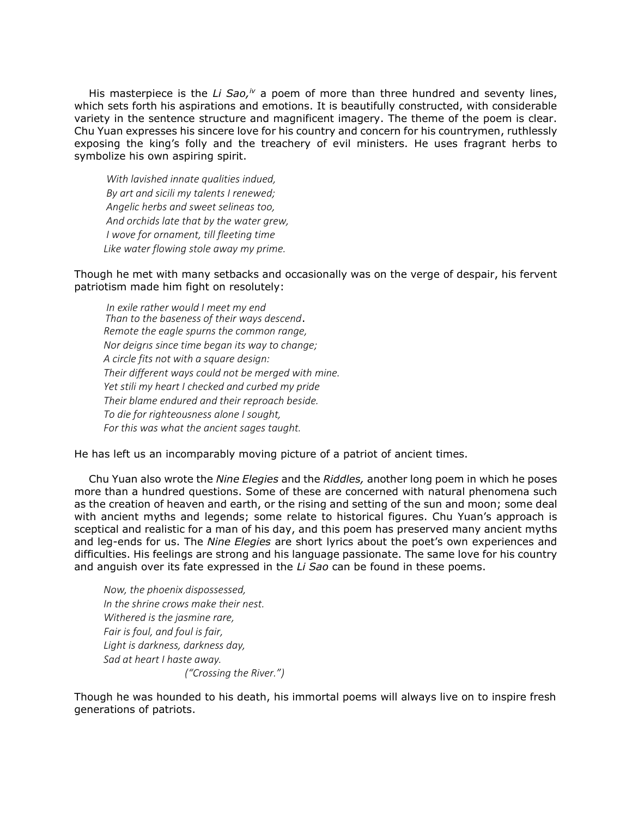His masterpiece is the *Li Sao,<sup>iv</sup>* a poem of more than three hundred and seventy lines, which sets forth his aspirations and emotions. It is beautifully constructed, with considerable variety in the sentence structure and magnificent imagery. The theme of the poem is clear. Chu Yuan expresses his sincere love for his country and concern for his countrymen, ruthlessly exposing the king's folly and the treachery of evil ministers. He uses fragrant herbs to symbolize his own aspiring spirit.

*With lavished innate qualities indued, By art and sicili my talents I renewed; Angelic herbs and sweet selineas too, And orchids late that by the water grew, I wove for ornament, till fleeting time Like water flowing stole away my prime.*

Though he met with many setbacks and occasionally was on the verge of despair, his fervent patriotism made him fight on resolutely:

*In exile rather would I meet my end Than to the baseness of their ways descend*. *Remote the eagle spurns the common range, Nor deigrıs since time began its way to change; A circle fits not with a square design: Their different ways could not be merged with mine. Yet stili my heart I checked and curbed my pride Their blame endured and their reproach beside. To die for righteousness alone I sought, For this was what the ancient sages taught.*

He has left us an incomparably moving picture of a patriot of ancient times.

Chu Yuan also wrote the *Nine Elegies* and the *Riddles,* another long poem in which he poses more than a hundred questions. Some of these are concerned with natural phenomena such as the creation of heaven and earth, or the rising and setting of the sun and moon; some deal with ancient myths and legends; some relate to historical figures. Chu Yuan's approach is sceptical and realistic for a man of his day, and this poem has preserved many ancient myths and leg-ends for us. The *Nine Elegies* are short lyrics about the poet's own experiences and difficulties. His feelings are strong and his language passionate. The same love for his country and anguish over its fate expressed in the *Li Sao* can be found in these poems.

*Now, the phoenix dispossessed, In the shrine crows make their nest. Withered is the jasmine rare, Fair is foul, and foul is fair, Light is darkness, darkness day, Sad at heart I haste away. ("Crossing the River.")*

Though he was hounded to his death, his immortal poems will always live on to inspire fresh generations of patriots.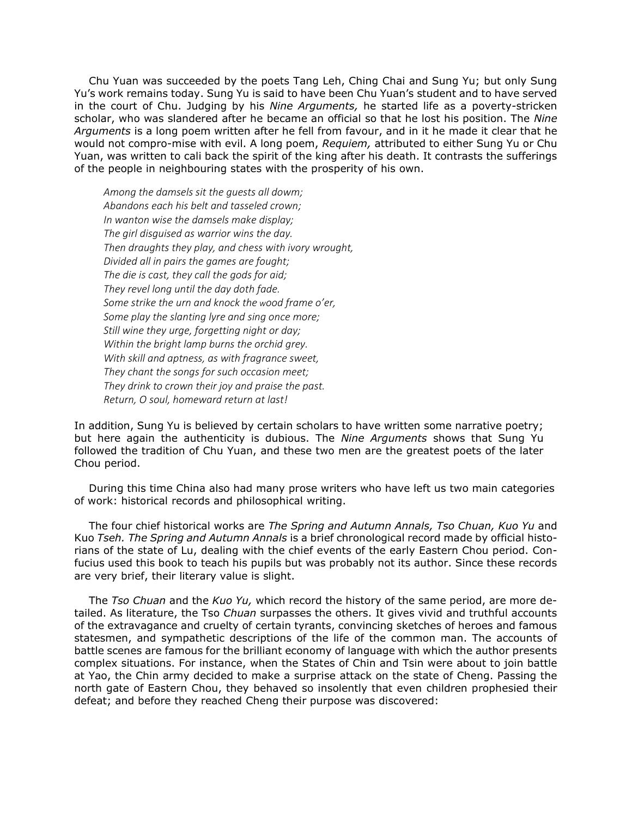Chu Yuan was succeeded by the poets Tang Leh, Ching Chai and Sung Yu; but only Sung Yu's work remains today. Sung Yu is said to have been Chu Yuan's student and to have served in the court of Chu. Judging by his *Nine Arguments,* he started life as a poverty-stricken scholar, who was slandered after he became an official so that he lost his position. The *Nine Arguments* is a long poem written after he fell from favour, and in it he made it clear that he would not compro-mise with evil. A long poem, *Requiem,* attributed to either Sung Yu or Chu Yuan, was written to cali back the spirit of the king after his death. It contrasts the sufferings of the people in neighbouring states with the prosperity of his own.

*Among the damsels sit the guests all dowm; Abandons each his belt and tasseled crown; In wanton wise the damsels make display; The girl disguised as warrior wins the day. Then draughts they play, and chess with ivory wrought, Divided all in pairs the games are fought; The die is cast, they call the gods for aid; They revel long until the day doth fade. Some strike the urn and knock the wood frame o'er, Some play the slanting lyre and sing once more; Still wine they urge, forgetting night or day; Within the bright lamp burns the orchid grey. With skill and aptness, as with fragrance sweet, They chant the songs for such occasion meet; They drink to crown their joy and praise the past. Return, O soul, homeward return at last!*

In addition, Sung Yu is believed by certain scholars to have written some narrative poetry; but here again the authenticity is dubious. The *Nine Arguments* shows that Sung Yu followed the tradition of Chu Yuan, and these two men are the greatest poets of the later Chou period.

During this time China also had many prose writers who have left us two main categories of work: historical records and philosophical writing.

The four chief historical works are *The Spring and Autumn Annals, Tso Chuan, Kuo Yu* and Kuo *Tseh. The Spring and Autumn Annals* is a brief chronological record made by official historians of the state of Lu, dealing with the chief events of the early Eastern Chou period. Confucius used this book to teach his pupils but was probably not its author. Since these records are very brief, their literary value is slight.

The *Tso Chuan* and the *Kuo Yu,* which record the history of the same period, are more detailed. As literature, the Tso *Chuan* surpasses the others. It gives vivid and truthful accounts of the extravagance and cruelty of certain tyrants, convincing sketches of heroes and famous statesmen, and sympathetic descriptions of the life of the common man. The accounts of battle scenes are famous for the brilliant economy of language with which the author presents complex situations. For instance, when the States of Chin and Tsin were about to join battle at Yao, the Chin army decided to make a surprise attack on the state of Cheng. Passing the north gate of Eastern Chou, they behaved so insolently that even children prophesied their defeat; and before they reached Cheng their purpose was discovered: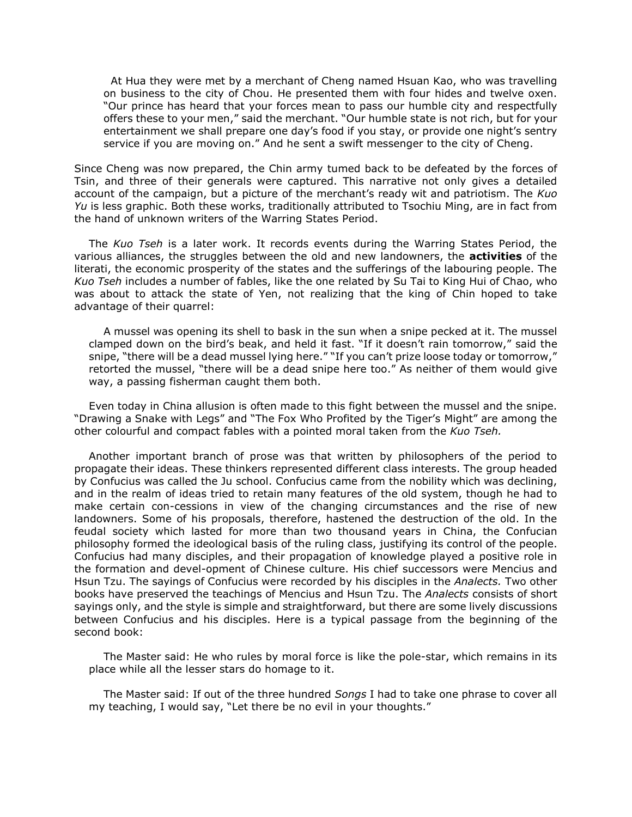At Hua they were met by a merchant of Cheng named Hsuan Kao, who was travelling on business to the city of Chou. He presented them with four hides and twelve oxen. "Our prince has heard that your forces mean to pass our humble city and respectfully offers these to your men," said the merchant. "Our humble state is not rich, but for your entertainment we shall prepare one day's food if you stay, or provide one night's sentry service if you are moving on." And he sent a swift messenger to the city of Cheng.

Since Cheng was now prepared, the Chin army tumed back to be defeated by the forces of Tsin, and three of their generals were captured. This narrative not only gives a detailed account of the campaign, but a picture of the merchant's ready wit and patriotism. The *Kuo Yu* is less graphic. Both these works, traditionally attributed to Tsochiu Ming, are in fact from the hand of unknown writers of the Warring States Period.

The *Kuo Tseh* is a later work. It records events during the Warring States Period, the various alliances, the struggles between the old and new landowners, the **activities** of the literati, the economic prosperity of the states and the sufferings of the labouring people. The *Kuo Tseh* includes a number of fables, like the one related by Su Tai to King Hui of Chao, who was about to attack the state of Yen, not realizing that the king of Chin hoped to take advantage of their quarrel:

A mussel was opening its shell to bask in the sun when a snipe pecked at it. The mussel clamped down on the bird's beak, and held it fast. "If it doesn't rain tomorrow," said the snipe, "there will be a dead mussel lying here." "If you can't prize loose today or tomorrow," retorted the mussel, "there will be a dead snipe here too." As neither of them would give way, a passing fisherman caught them both.

Even today in China allusion is often made to this fight between the mussel and the snipe. "Drawing a Snake with Legs" and "The Fox Who Profited by the Tiger's Might" are among the other colourful and compact fables with a pointed moral taken from the *Kuo Tseh.*

Another important branch of prose was that written by philosophers of the period to propagate their ideas. These thinkers represented different class interests. The group headed by Confucius was called the Ju school. Confucius came from the nobility which was declining, and in the realm of ideas tried to retain many features of the old system, though he had to make certain con-cessions in view of the changing circumstances and the rise of new landowners. Some of his proposals, therefore, hastened the destruction of the old. In the feudal society which lasted for more than two thousand years in China, the Confucian philosophy formed the ideological basis of the ruling class, justifying its control of the people. Confucius had many disciples, and their propagation of knowledge played a positive role in the formation and devel-opment of Chinese culture. His chief successors were Mencius and Hsun Tzu. The sayings of Confucius were recorded by his disciples in the *Analects.* Two other books have preserved the teachings of Mencius and Hsun Tzu. The *Analects* consists of short sayings only, and the style is simple and straightforward, but there are some lively discussions between Confucius and his disciples. Here is a typical passage from the beginning of the second book:

The Master said: He who rules by moral force is like the pole-star, which remains in its place while all the lesser stars do homage to it.

The Master said: If out of the three hundred *Songs* I had to take one phrase to cover all my teaching, I would say, "Let there be no evil in your thoughts."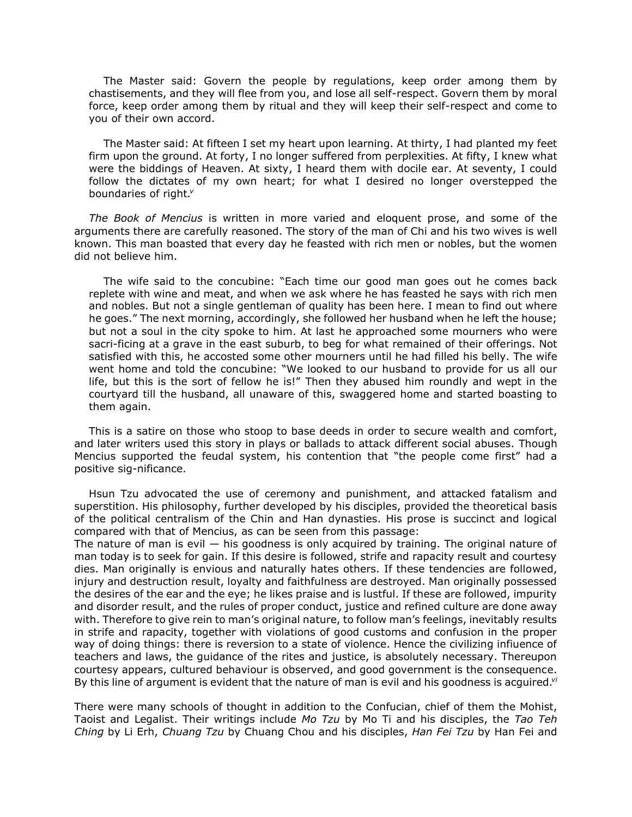The Master said: Govern the people by regulations, keep order among them by chastisements, and they will flee from you, and lose all self-respect. Govern them by moral force, keep order among them by ritual and they will keep their self-respect and come to you of their own accord.

The Master said: At fifteen I set my heart upon learning. At thirty, I had planted my feet firm upon the ground. At forty, I no longer suffered from perplexities. At fifty, I knew what were the biddings of Heaven. At sixty, I heard them with docile ear. At seventy, I could follow the dictates of my own heart; for what I desired no longer overstepped the boundaries of right*. v*

*The Book of Mencius* is written in more varied and eloquent prose, and some of the arguments there are carefully reasoned. The story of the man of Chi and his two wives is well known. This man boasted that every day he feasted with rich men or nobles, but the women did not believe him.

The wife said to the concubine: "Each time our good man goes out he comes back replete with wine and meat, and when we ask where he has feasted he says with rich men and nobles. But not a single gentleman of quality has been here. I mean to find out where he goes." The next morning, accordingly, she followed her husband when he left the house; but not a soul in the city spoke to him. At last he approached some mourners who were sacri-ficing at a grave in the east suburb, to beg for what remained of their offerings. Not satisfied with this, he accosted some other mourners until he had filled his belly. The wife went home and told the concubine: "We looked to our husband to provide for us all our life, but this is the sort of fellow he is!" Then they abused him roundly and wept in the courtyard till the husband, all unaware of this, swaggered home and started boasting to them again.

This is a satire on those who stoop to base deeds in order to secure wealth and comfort, and later writers used this story in plays or ballads to attack different social abuses. Though Mencius supported the feudal system, his contention that "the people come first" had a positive sig-nificance.

Hsun Tzu advocated the use of ceremony and punishment, and attacked fatalism and superstition. His philosophy, further developed by his disciples, provided the theoretical basis of the political centralism of the Chin and Han dynasties. His prose is succinct and logical compared with that of Mencius, as can be seen from this passage:

The nature of man is evil  $-$  his goodness is only acquired by training. The original nature of man today is to seek for gain. If this desire is followed, strife and rapacity result and courtesy dies. Man originally is envious and naturally hates others. If these tendencies are followed, injury and destruction result, loyalty and faithfulness are destroyed. Man originally possessed the desires of the ear and the eye; he likes praise and is lustful. If these are followed, impurity and disorder result, and the rules of proper conduct, justice and refined culture are done away with. Therefore to give rein to man's original nature, to follow man's feelings, inevitably results in strife and rapacity, together with violations of good customs and confusion in the proper way of doing things: there is reversion to a state of violence. Hence the civilizing infiuence of teachers and laws, the guidance of the rites and justice, is absolutely necessary. Thereupon courtesy appears, cultured behaviour is observed, and good government is the consequence. By this line of argument is evident that the nature of man is evil and his goodness is acguired*. vi*

There were many schools of thought in addition to the Confucian, chief of them the Mohist, Taoist and Legalist. Their writings include *Mo Tzu* by Mo Ti and his disciples, the *Tao Teh Ching* by Li Erh, *Chuang Tzu* by Chuang Chou and his disciples, *Han Fei Tzu* by Han Fei and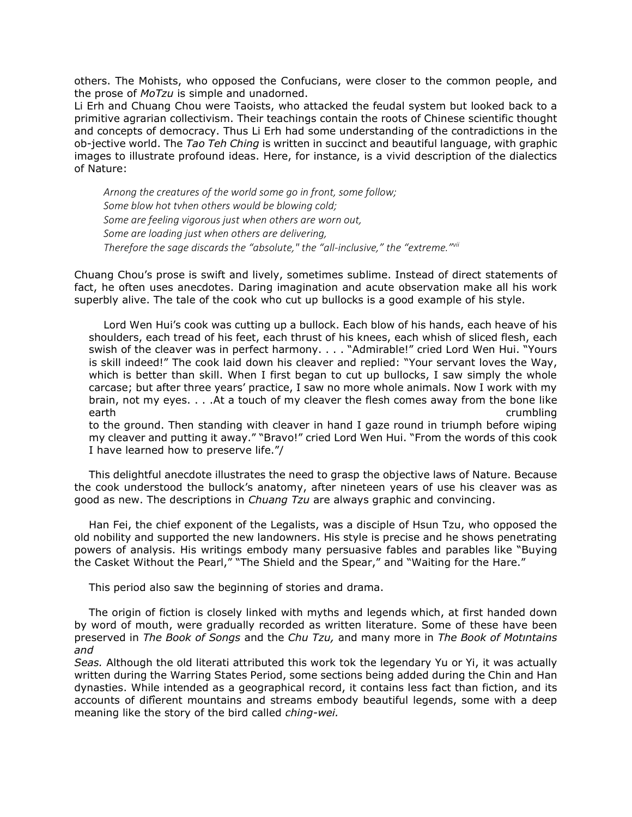others. The Mohists, who opposed the Confucians, were closer to the common people, and the prose of *MoTzu* is simple and unadorned.

Li Erh and Chuang Chou were Taoists, who attacked the feudal system but looked back to a primitive agrarian collectivism. Their teachings contain the roots of Chinese scientific thought and concepts of democracy. Thus Li Erh had some understanding of the contradictions in the ob-jective world. The *Tao Teh Ching* is written in succinct and beautiful language, with graphic images to illustrate profound ideas. Here, for instance, is a vivid description of the dialectics of Nature:

*Arnong the creatures of the world some go in front, some follow; Some blow hot tvhen others would be blowing cold; Some are feeling vigorous just when others are worn out, Some are loading just when others are delivering, Therefore the sage discards the "absolute," the "all-inclusive," the "extreme."vii*

Chuang Chou's prose is swift and lively, sometimes sublime. Instead of direct statements of fact, he often uses anecdotes. Daring imagination and acute observation make all his work superbly alive. The tale of the cook who cut up bullocks is a good example of his style.

Lord Wen Hui's cook was cutting up a bullock. Each blow of his hands, each heave of his shoulders, each tread of his feet, each thrust of his knees, each whish of sliced flesh, each swish of the cleaver was in perfect harmony. . . . "Admirable!" cried Lord Wen Hui. "Yours is skill indeed!" The cook laid down his cleaver and replied: "Your servant loves the Way, which is better than skill. When I first began to cut up bullocks, I saw simply the whole carcase; but after three years' practice, I saw no more whole animals. Now I work with my brain, not my eyes. . . .At a touch of my cleaver the flesh comes away from the bone like earth crumbling

to the ground. Then standing with cleaver in hand I gaze round in triumph before wiping my cleaver and putting it away." "Bravo!" cried Lord Wen Hui. "From the words of this cook I have learned how to preserve life."/

This delightful anecdote illustrates the need to grasp the objective laws of Nature. Because the cook understood the bullock's anatomy, after nineteen years of use his cleaver was as good as new. The descriptions in *Chuang Tzu* are always graphic and convincing.

Han Fei, the chief exponent of the Legalists, was a disciple of Hsun Tzu, who opposed the old nobility and supported the new landowners. His style is precise and he shows penetrating powers of analysis. His writings embody many persuasive fables and parables like "Buying the Casket Without the Pearl," "The Shield and the Spear," and "Waiting for the Hare."

This period also saw the beginning of stories and drama.

The origin of fiction is closely linked with myths and legends which, at first handed down by word of mouth, were gradually recorded as written literature. Some of these have been preserved in *The Book of Songs* and the *Chu Tzu,* and many more in *The Book of Motıntains and*

*Seas.* Although the old literati attributed this work tok the legendary Yu or Yi, it was actually written during the Warring States Period, some sections being added during the Chin and Han dynasties. While intended as a geographical record, it contains less fact than fiction, and its accounts of difîerent mountains and streams embody beautiful legends, some with a deep meaning like the story of the bird called *ching-wei.*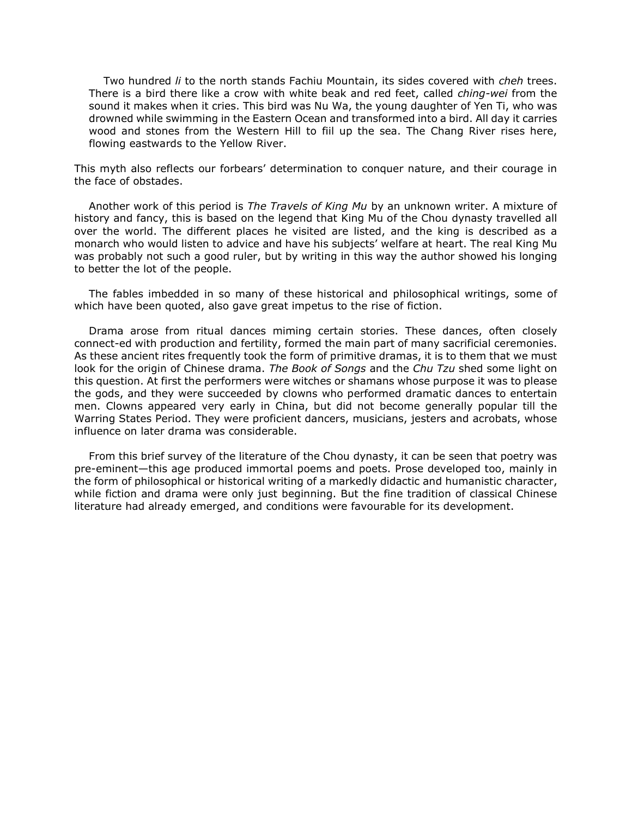Two hundred *li* to the north stands Fachiu Mountain, its sides covered with *cheh* trees. There is a bird there like a crow with white beak and red feet, called *ching-wei* from the sound it makes when it cries. This bird was Nu Wa, the young daughter of Yen Ti, who was drowned while swimming in the Eastern Ocean and transformed into a bird. All day it carries wood and stones from the Western Hill to fiil up the sea. The Chang River rises here, flowing eastwards to the Yellow River.

This myth also reflects our forbears' determination to conquer nature, and their courage in the face of obstades.

Another work of this period is *The Travels of King Mu* by an unknown writer. A mixture of history and fancy, this is based on the legend that King Mu of the Chou dynasty travelled all over the world. The different places he visited are listed, and the king is described as a monarch who would listen to advice and have his subjects' welfare at heart. The real King Mu was probably not such a good ruler, but by writing in this way the author showed his longing to better the lot of the people.

The fables imbedded in so many of these historical and philosophical writings, some of which have been quoted, also gave great impetus to the rise of fiction.

Drama arose from ritual dances miming certain stories. These dances, often closely connect-ed with production and fertility, formed the main part of many sacrificial ceremonies. As these ancient rites frequently took the form of primitive dramas, it is to them that we must look for the origin of Chinese drama. *The Book of Songs* and the *Chu Tzu* shed some light on this question. At first the performers were witches or shamans whose purpose it was to please the gods, and they were succeeded by clowns who performed dramatic dances to entertain men. Clowns appeared very early in China, but did not become generally popular till the Warring States Period. They were proficient dancers, musicians, jesters and acrobats, whose influence on later drama was considerable.

From this brief survey of the literature of the Chou dynasty, it can be seen that poetry was pre-eminent—this age produced immortal poems and poets. Prose developed too, mainly in the form of philosophical or historical writing of a markedly didactic and humanistic character, while fiction and drama were only just beginning. But the fine tradition of classical Chinese literature had already emerged, and conditions were favourable for its development.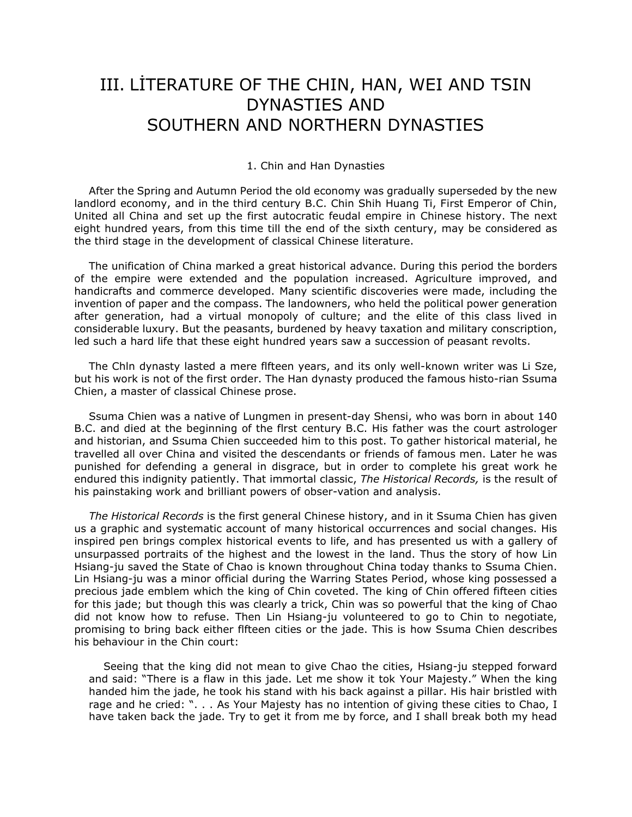## III. LİTERATURE OF THE CHIN, HAN, WEI AND TSIN DYNASTIES AND SOUTHERN AND NORTHERN DYNASTIES

#### 1. Chin and Han Dynasties

After the Spring and Autumn Period the old economy was gradually superseded by the new landlord economy, and in the third century B.C. Chin Shih Huang Ti, First Emperor of Chin, United all China and set up the first autocratic feudal empire in Chinese history. The next eight hundred years, from this time till the end of the sixth century, may be considered as the third stage in the development of classical Chinese literature.

The unification of China marked a great historical advance. During this period the borders of the empire were extended and the population increased. Agriculture improved, and handicrafts and commerce developed. Many scientific discoveries were made, including the invention of paper and the compass. The landowners, who held the political power generation after generation, had a virtual monopoly of culture; and the elite of this class lived in considerable luxury. But the peasants, burdened by heavy taxation and military conscription, led such a hard life that these eight hundred years saw a succession of peasant revolts.

The Chln dynasty lasted a mere flfteen years, and its only well-known writer was Li Sze, but his work is not of the first order. The Han dynasty produced the famous histo-rian Ssuma Chien, a master of classical Chinese prose.

Ssuma Chien was a native of Lungmen in present-day Shensi, who was born in about 140 B.C. and died at the beginning of the flrst century B.C. His father was the court astrologer and historian, and Ssuma Chien succeeded him to this post. To gather historical material, he travelled all over China and visited the descendants or friends of famous men. Later he was punished for defending a general in disgrace, but in order to complete his great work he endured this indignity patiently. That immortal classic, *The Historical Records,* is the result of his painstaking work and brilliant powers of obser-vation and analysis.

*The Historical Records* is the first general Chinese history, and in it Ssuma Chien has given us a graphic and systematic account of many historical occurrences and social changes. His inspired pen brings complex historical events to life, and has presented us with a gallery of unsurpassed portraits of the highest and the lowest in the land. Thus the story of how Lin Hsiang-ju saved the State of Chao is known throughout China today thanks to Ssuma Chien. Lin Hsiang-ju was a minor official during the Warring States Period, whose king possessed a precious jade emblem which the king of Chin coveted. The king of Chin offered fifteen cities for this jade; but though this was clearly a trick, Chin was so powerful that the king of Chao did not know how to refuse. Then Lin Hsiang-ju volunteered to go to Chin to negotiate, promising to bring back either flfteen cities or the jade. This is how Ssuma Chien describes his behaviour in the Chin court:

Seeing that the king did not mean to give Chao the cities, Hsiang-ju stepped forward and said: "There is a flaw in this jade. Let me show it tok Your Majesty." When the king handed him the jade, he took his stand with his back against a pillar. His hair bristled with rage and he cried: ". . . As Your Majesty has no intention of giving these cities to Chao, I have taken back the jade. Try to get it from me by force, and I shall break both my head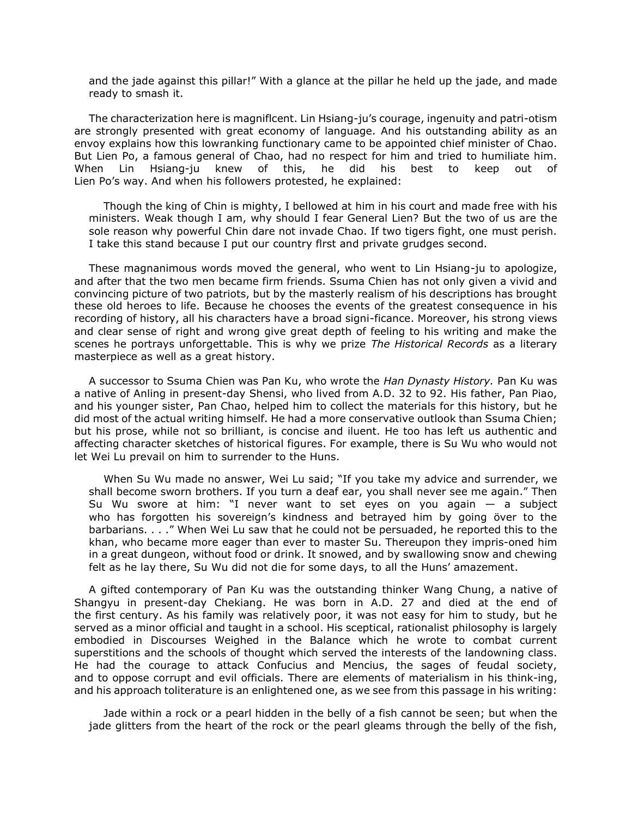and the jade against this pillar!" With a glance at the pillar he held up the jade, and made ready to smash it.

The characterization here is magniflcent. Lin Hsiang-ju's courage, ingenuity and patri-otism are strongly presented with great economy of language. And his outstanding ability as an envoy explains how this lowranking functionary came to be appointed chief minister of Chao. But Lien Po, a famous general of Chao, had no respect for him and tried to humiliate him. When Lin Hsiang-ju knew of this, he did his best to keep out of Lien Po's way. And when his followers protested, he explained:

Though the king of Chin is mighty, I bellowed at him in his court and made free with his ministers. Weak though I am, why should I fear General Lien? But the two of us are the sole reason why powerful Chin dare not invade Chao. If two tigers fight, one must perish. I take this stand because I put our country flrst and private grudges second.

These magnanimous words moved the general, who went to Lin Hsiang-ju to apologize, and after that the two men became firm friends. Ssuma Chien has not only given a vivid and convincing picture of two patriots, but by the masterly realism of his descriptions has brought these old heroes to life. Because he chooses the events of the greatest consequence in his recording of history, all his characters have a broad signi-ficance. Moreover, his strong views and clear sense of right and wrong give great depth of feeling to his writing and make the scenes he portrays unforgettable. This is why we prize *The Historical Records* as a literary masterpiece as well as a great history.

A successor to Ssuma Chien was Pan Ku, who wrote the *Han Dynasty History.* Pan Ku was a native of Anling in present-day Shensi, who lived from A.D. 32 to 92. His father, Pan Piao, and his younger sister, Pan Chao, helped him to collect the materials for this history, but he did most of the actual writing himself. He had a more conservative outlook than Ssuma Chien; but his prose, while not so brilliant, is concise and iluent. He too has left us authentic and affecting character sketches of historical figures. For example, there is Su Wu who would not let Wei Lu prevail on him to surrender to the Huns.

When Su Wu made no answer, Wei Lu said; "If you take my advice and surrender, we shall become sworn brothers. If you turn a deaf ear, you shall never see me again." Then Su Wu swore at him: "I never want to set eyes on you again — a subject who has forgotten his sovereign's kindness and betrayed him by going över to the barbarians. . . ." When Wei Lu saw that he could not be persuaded, he reported this to the khan, who became more eager than ever to master Su. Thereupon they impris-oned him in a great dungeon, without food or drink. It snowed, and by swallowing snow and chewing felt as he lay there, Su Wu did not die for some days, to all the Huns' amazement.

A gifted contemporary of Pan Ku was the outstanding thinker Wang Chung, a native of Shangyu in present-day Chekiang. He was born in A.D. 27 and died at the end of the first century. As his family was relatively poor, it was not easy for him to study, but he served as a minor official and taught in a school. His sceptical, rationalist philosophy is largely embodied in Discourses Weighed in the Balance which he wrote to combat current superstitions and the schools of thought which served the interests of the landowning class. He had the courage to attack Confucius and Mencius, the sages of feudal society, and to oppose corrupt and evil officials. There are elements of materialism in his think-ing, and his approach toliterature is an enlightened one, as we see from this passage in his writing:

Jade within a rock or a pearl hidden in the belly of a fish cannot be seen; but when the jade glitters from the heart of the rock or the pearl gleams through the belly of the fish,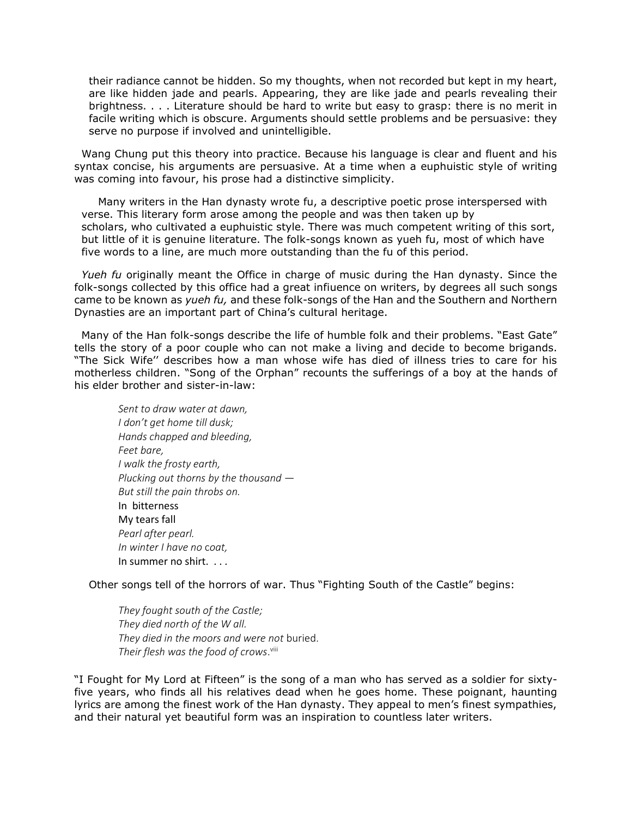their radiance cannot be hidden. So my thoughts, when not recorded but kept in my heart, are like hidden jade and pearls. Appearing, they are like jade and pearls revealing their brightness. . . . Literature should be hard to write but easy to grasp: there is no merit in facile writing which is obscure. Arguments should settle problems and be persuasive: they serve no purpose if involved and unintelligible.

Wang Chung put this theory into practice. Because his language is clear and fluent and his syntax concise, his arguments are persuasive. At a time when a euphuistic style of writing was coming into favour, his prose had a distinctive simplicity.

Many writers in the Han dynasty wrote fu, a descriptive poetic prose interspersed with verse. This literary form arose among the people and was then taken up by scholars, who cultivated a euphuistic style. There was much competent writing of this sort, but little of it is genuine literature. The folk-songs known as yueh fu, most of which have five words to a line, are much more outstanding than the fu of this period.

*Yueh fu* originally meant the Office in charge of music during the Han dynasty. Since the folk-songs collected by this office had a great infiuence on writers, by degrees all such songs came to be known as *yueh fu,* and these folk-songs of the Han and the Southern and Northern Dynasties are an important part of China's cultural heritage.

Many of the Han folk-songs describe the life of humble folk and their problems. "East Gate" tells the story of a poor couple who can not make a living and decide to become brigands. "The Sick Wife'' describes how a man whose wife has died of illness tries to care for his motherless children. "Song of the Orphan" recounts the sufferings of a boy at the hands of his elder brother and sister-in-law:

*Sent to draw water at dawn, I don't get home till dusk; Hands chapped and bleeding, Feet bare, I walk the frosty earth, Plucking out thorns by the thousand — But still the pain throbs on.* In bitterness My tears fall *Pearl after pearl. In winter I have no* c*oat,* In summer no shirt. . . .

Other songs tell of the horrors of war. Thus "Fighting South of the Castle" begins:

*They fought south of the Castle; They died north of the W all. They died in the moors and were not* buried. *Their flesh was the food of crows*. viii

"I Fought for My Lord at Fifteen" is the song of a man who has served as a soldier for sixtyfive years, who finds all his relatives dead when he goes home. These poignant, haunting lyrics are among the finest work of the Han dynasty. They appeal to men's finest sympathies, and their natural yet beautiful form was an inspiration to countless later writers.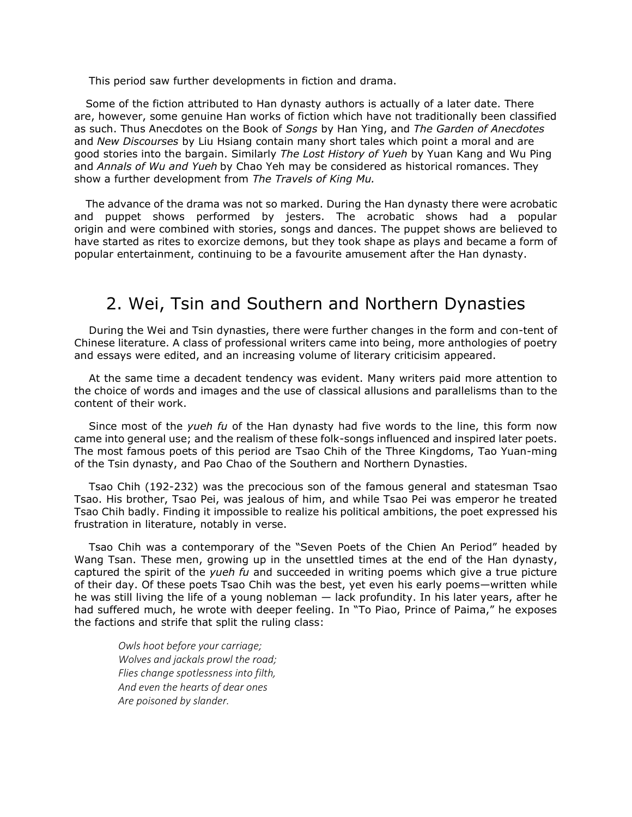This period saw further developments in fiction and drama.

Some of the fiction attributed to Han dynasty authors is actually of a later date. There are, however, some genuine Han works of fiction which have not traditionally been classified as such. Thus Anecdotes on the Book of *Songs* by Han Ying, and *The Garden of Anecdotes* and *New Discourses* by Liu Hsiang contain many short tales which point a moral and are good stories into the bargain. Similarly *The Lost History of Yueh* by Yuan Kang and Wu Ping and *Annals of Wu and Yueh* by Chao Yeh may be considered as historical romances. They show a further development from *The Travels of King Mu.*

The advance of the drama was not so marked. During the Han dynasty there were acrobatic and puppet shows performed by jesters. The acrobatic shows had a popular origin and were combined with stories, songs and dances. The puppet shows are believed to have started as rites to exorcize demons, but they took shape as plays and became a form of popular entertainment, continuing to be a favourite amusement after the Han dynasty.

### 2. Wei, Tsin and Southern and Northern Dynasties

During the Wei and Tsin dynasties, there were further changes in the form and con-tent of Chinese literature. A class of professional writers came into being, more anthologies of poetry and essays were edited, and an increasing volume of literary criticisim appeared.

At the same time a decadent tendency was evident. Many writers paid more attention to the choice of words and images and the use of classical allusions and parallelisms than to the content of their work.

Since most of the *yueh fu* of the Han dynasty had five words to the line, this form now came into general use; and the realism of these folk-songs influenced and inspired later poets. The most famous poets of this period are Tsao Chih of the Three Kingdoms, Tao Yuan-ming of the Tsin dynasty, and Pao Chao of the Southern and Northern Dynasties.

Tsao Chih (192-232) was the precocious son of the famous general and statesman Tsao Tsao. His brother, Tsao Pei, was jealous of him, and while Tsao Pei was emperor he treated Tsao Chih badly. Finding it impossible to realize his political ambitions, the poet expressed his frustration in literature, notably in verse.

Tsao Chih was a contemporary of the "Seven Poets of the Chien An Period" headed by Wang Tsan. These men, growing up in the unsettled times at the end of the Han dynasty, captured the spirit of the *yueh fu* and succeeded in writing poems which give a true picture of their day. Of these poets Tsao Chih was the best, yet even his early poems—written while he was still living the life of a young nobleman — lack profundity. In his later years, after he had suffered much, he wrote with deeper feeling. In "To Piao, Prince of Paima," he exposes the factions and strife that split the ruling class:

*Owls hoot before your carriage; Wolves and jackals prowl the road; Flies change spotlessness into filth, And even the hearts of dear ones Are poisoned by slander.*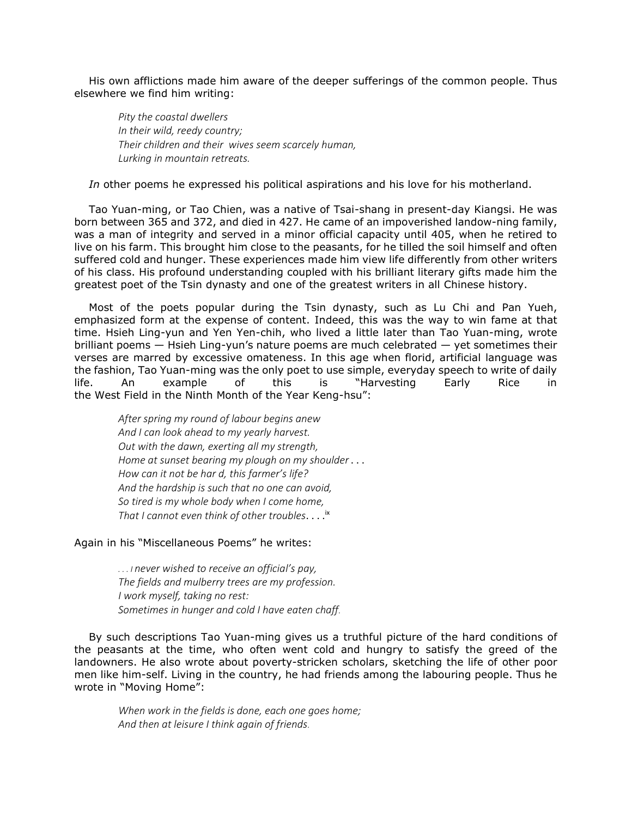His own afflictions made him aware of the deeper sufferings of the common people. Thus elsewhere we find him writing:

*Pity the coastal dwellers In their wild, reedy country; Their children and their wives seem scarcely human, Lurking in mountain retreats.*

*In* other poems he expressed his political aspirations and his love for his motherland.

Tao Yuan-ming, or Tao Chien, was a native of Tsai-shang in present-day Kiangsi. He was born between 365 and 372, and died in 427. He came of an impoverished landow-ning family, was a man of integrity and served in a minor official capacity until 405, when he retired to live on his farm. This brought him close to the peasants, for he tilled the soil himself and often suffered cold and hunger. These experiences made him view life differently from other writers of his class. His profound understanding coupled with his brilliant literary gifts made him the greatest poet of the Tsin dynasty and one of the greatest writers in all Chinese history.

Most of the poets popular during the Tsin dynasty, such as Lu Chi and Pan Yueh, emphasized form at the expense of content. Indeed, this was the way to win fame at that time. Hsieh Ling-yun and Yen Yen-chih, who lived a little later than Tao Yuan-ming, wrote brilliant poems — Hsieh Ling-yun's nature poems are much celebrated — yet sometimes their verses are marred by excessive omateness. In this age when florid, artificial language was the fashion, Tao Yuan-ming was the only poet to use simple, everyday speech to write of daily life. An example of this is "Harvesting Early Rice in the West Field in the Ninth Month of the Year Keng-hsu":

*After spring my round of labour begins anew And I can look ahead to my yearly harvest. Out with the dawn, exerting all my strength, Home at sunset bearing my plough on my shoulder* . . . *How can it not be har d, this farmer's life? And the hardship is such that no one can avoid, So tired is my whole body when I come home, That I cannot even think of other troubles*. . . . ix

### Again in his "Miscellaneous Poems" he writes:

*. . . I never wished to receive an official's pay, The fields and mulberry trees are my profession. I work myself, taking no rest: Sometimes in hunger and cold I have eaten chaff.*

By such descriptions Tao Yuan-ming gives us a truthful picture of the hard conditions of the peasants at the time, who often went cold and hungry to satisfy the greed of the landowners. He also wrote about poverty-stricken scholars, sketching the life of other poor men like him-self. Living in the country, he had friends among the labouring people. Thus he wrote in "Moving Home":

*When work in the fields is done, each one goes home; And then at leisure I think again of friends.*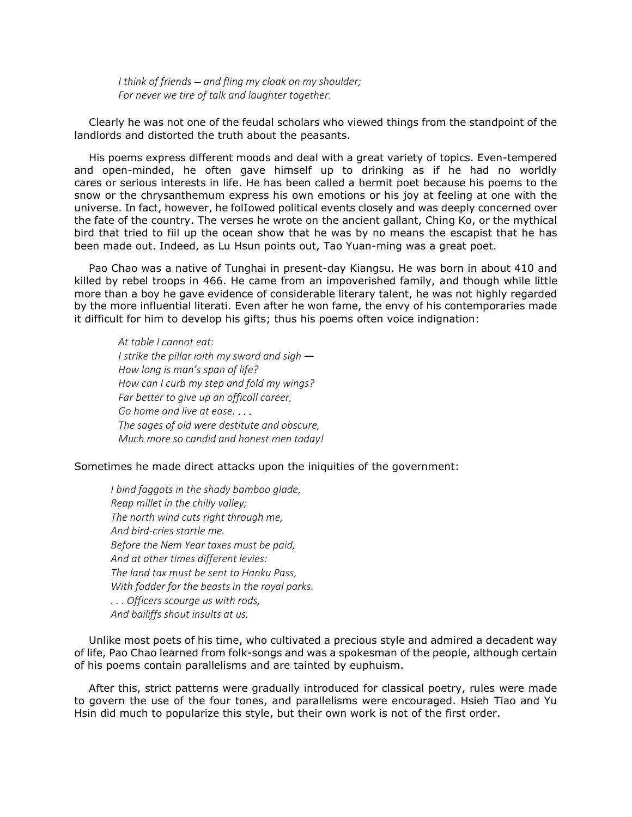*I think of friends — and fling my cloak on my shoulder; For never we tire of talk and laughter together.*

Clearly he was not one of the feudal scholars who viewed things from the standpoint of the landlords and distorted the truth about the peasants.

His poems express different moods and deal with a great variety of topics. Even-tempered and open-minded, he often gave himself up to drinking as if he had no worldly cares or serious interests in life. He has been called a hermit poet because his poems to the snow or the chrysanthemum express his own emotions or his joy at feeling at one with the universe. In fact, however, he folIowed political events closely and was deeply concerned over the fate of the country. The verses he wrote on the ancient gallant, Ching Ko, or the mythical bird that tried to fiil up the ocean show that he was by no means the escapist that he has been made out. Indeed, as Lu Hsun points out, Tao Yuan-ming was a great poet.

Pao Chao was a native of Tunghai in present-day Kiangsu. He was born in about 410 and killed by rebel troops in 466. He came from an impoverished family, and though while little more than a boy he gave evidence of considerable literary talent, he was not highly regarded by the more influential literati. Even after he won fame, the envy of his contemporaries made it difficult for him to develop his gifts; thus his poems often voice indignation:

*At table I cannot eat: I strike the pillar ıoith my sword and sigh* — *How long is man's span of life? How can I curb my step and fold my wings? Far better to give up an officall career, Go home and live at ease.* . . . *The sages of old were destitute and obscure, Much more so candid and honest men today!*

### Sometimes he made direct attacks upon the iniquities of the government:

*I bind faggots in the shady bamboo glade, Reap millet in the chilly valley; The north wind cuts right through me, And bird-cries startle me. Before the Nem Year taxes must be paid, And at other times different levies: The land tax must be sent to Hanku Pass, With fodder for the beasts in the royal parks. . . . Officers scourge us with rods, And bailiffs shout insults at us.*

Unlike most poets of his time, who cultivated a precious style and admired a decadent way of life, Pao Chao learned from folk-songs and was a spokesman of the people, although certain of his poems contain parallelisms and are tainted by euphuism.

After this, strict patterns were gradually introduced for classical poetry, rules were made to govern the use of the four tones, and parallelisms were encouraged. Hsieh Tiao and Yu Hsin did much to popularize this style, but their own work is not of the first order.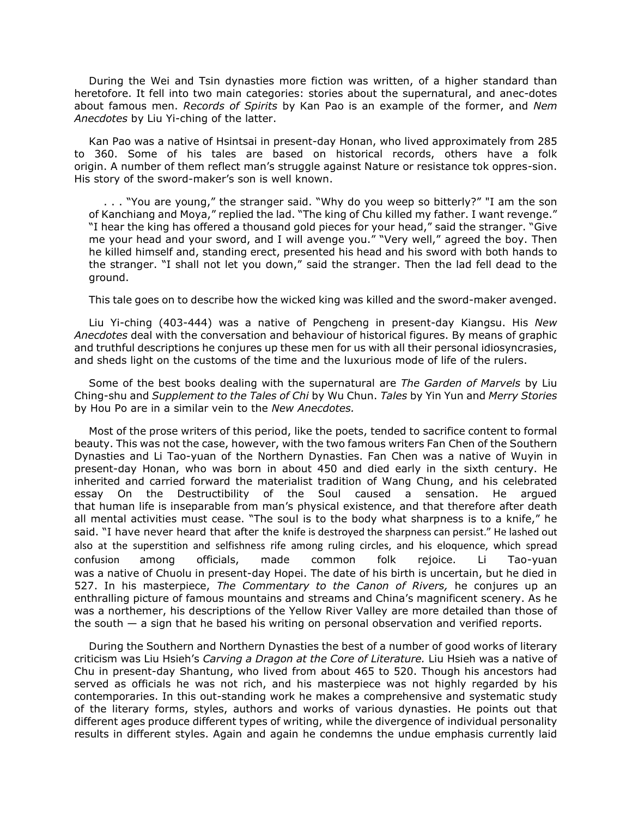During the Wei and Tsin dynasties more fiction was written, of a higher standard than heretofore. It fell into two main categories: stories about the supernatural, and anec-dotes about famous men. *Records of Spirits* by Kan Pao is an example of the former, and *Nem Anecdotes* by Liu Yi-ching of the latter.

Kan Pao was a native of Hsintsai in present-day Honan, who lived approximately from 285 to 360. Some of his tales are based on historical records, others have a folk origin. A number of them reflect man's struggle against Nature or resistance tok oppres-sion. His story of the sword-maker's son is well known.

. . . "You are young," the stranger said. "Why do you weep so bitterly?" "I am the son of Kanchiang and Moya," replied the lad. "The king of Chu killed my father. I want revenge." "I hear the king has offered a thousand gold pieces for your head," said the stranger. "Give me your head and your sword, and I will avenge you." "Very well," agreed the boy. Then he killed himself and, standing erect, presented his head and his sword with both hands to the stranger. "I shall not let you down," said the stranger. Then the lad fell dead to the ground.

This tale goes on to describe how the wicked king was killed and the sword-maker avenged.

Liu Yi-ching (403-444) was a native of Pengcheng in present-day Kiangsu. His *New Anecdotes* deal with the conversation and behaviour of historical figures. By means of graphic and truthful descriptions he conjures up these men for us with all their personal idiosyncrasies, and sheds light on the customs of the time and the luxurious mode of life of the rulers.

Some of the best books dealing with the supernatural are *The Garden of Marvels* by Liu Ching-shu and *Supplement to the Tales of Chi* by Wu Chun. *Tales* by Yin Yun and *Merry Stories* by Hou Po are in a similar vein to the *New Anecdotes.*

Most of the prose writers of this period, like the poets, tended to sacrifice content to formal beauty. This was not the case, however, with the two famous writers Fan Chen of the Southern Dynasties and Li Tao-yuan of the Northern Dynasties. Fan Chen was a native of Wuyin in present-day Honan, who was born in about 450 and died early in the sixth century. He inherited and carried forward the materialist tradition of Wang Chung, and his celebrated essay On the Destructibility of the Soul caused a sensation. He argued that human life is inseparable from man's physical existence, and that therefore after death all mental activities must cease. "The soul is to the body what sharpness is to a knife," he said. "I have never heard that after the knife is destroyed the sharpness can persist." He lashed out also at the superstition and selfishness rife among ruling circles, and his eloquence, which spread confusion among officials, made common folk rejoice. Li Tao-yuan was a native of Chuolu in present-day Hopei. The date of his birth is uncertain, but he died in 527. In his masterpiece, *The Commentary to the Canon of Rivers,* he conjures up an enthralling picture of famous mountains and streams and China's magnificent scenery. As he was a northemer, his descriptions of the Yellow River Valley are more detailed than those of the south — a sign that he based his writing on personal observation and verified reports.

During the Southern and Northern Dynasties the best of a number of good works of literary criticism was Liu Hsieh's *Carving a Dragon at the Core of Literature.* Liu Hsieh was a native of Chu in present-day Shantung, who lived from about 465 to 520. Though his ancestors had served as officials he was not rich, and his masterpiece was not highly regarded by his contemporaries. In this out-standing work he makes a comprehensive and systematic study of the literary forms, styles, authors and works of various dynasties. He points out that different ages produce different types of writing, while the divergence of individual personality results in different styles. Again and again he condemns the undue emphasis currently laid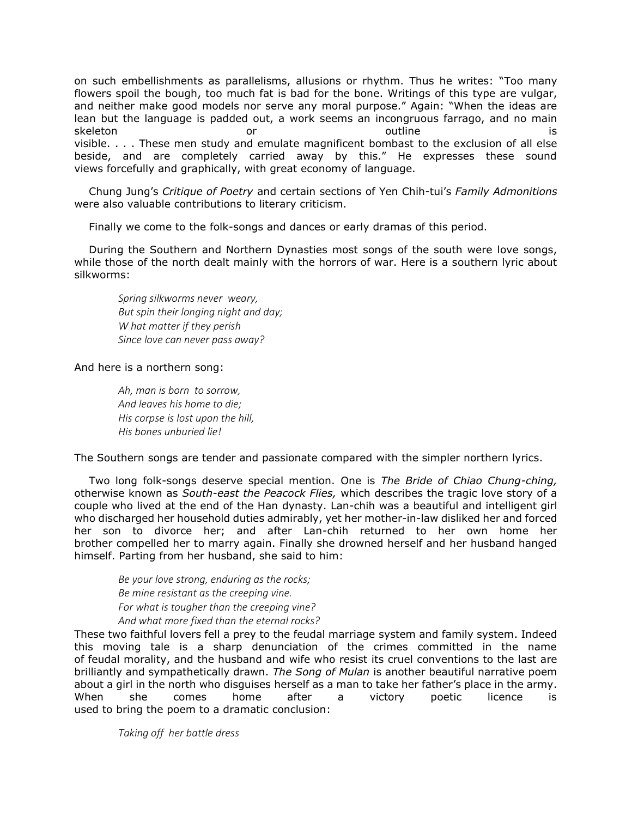on such embellishments as parallelisms, allusions or rhythm. Thus he writes: "Too many flowers spoil the bough, too much fat is bad for the bone. Writings of this type are vulgar, and neither make good models nor serve any moral purpose." Again: "When the ideas are lean but the language is padded out, a work seems an incongruous farrago, and no main skeleton is the or or outline is the outline is the set of  $\alpha$ visible. . . . These men study and emulate magnificent bombast to the exclusion of all else beside, and are completely carried away by this." He expresses these sound views forcefully and graphically, with great economy of language.

Chung Jung's *Critique of Poetry* and certain sections of Yen Chih-tui's *Family Admonitions* were also valuable contributions to literary criticism.

Finally we come to the folk-songs and dances or early dramas of this period.

During the Southern and Northern Dynasties most songs of the south were love songs, while those of the north dealt mainly with the horrors of war. Here is a southern lyric about silkworms:

*Spring silkworms never weary, But spin their longing night and day; W hat matter if they perish Since love can never pass away?*

And here is a northern song:

*Ah, man is born to sorrow, And leaves his home to die; His corpse is lost upon the hill, His bones unburied lie!*

The Southern songs are tender and passionate compared with the simpler northern lyrics.

Two long folk-songs deserve special mention. One is *The Bride of Chiao Chung-ching,* otherwise known as *South-east the Peacock Flies,* which describes the tragic love story of a couple who lived at the end of the Han dynasty. Lan-chih was a beautiful and intelligent girl who discharged her household duties admirably, yet her mother-in-law disliked her and forced her son to divorce her; and after Lan-chih returned to her own home her brother compelled her to marry again. Finally she drowned herself and her husband hanged himself. Parting from her husband, she said to him:

*Be your love strong, enduring as the rocks; Be mine resistant as the creeping vine. For what is tougher than the creeping vine? And what more fixed than the eternal rocks?*

These two faithful lovers fell a prey to the feudal marriage system and family system. Indeed this moving tale is a sharp denunciation of the crimes committed in the name of feudal morality, and the husband and wife who resist its cruel conventions to the last are brilliantly and sympathetically drawn. *The Song of Mulan* is another beautiful narrative poem about a girl in the north who disguises herself as a man to take her father's place in the army. When she comes home after a victory poetic licence is used to bring the poem to a dramatic conclusion:

*Taking off her battle dress*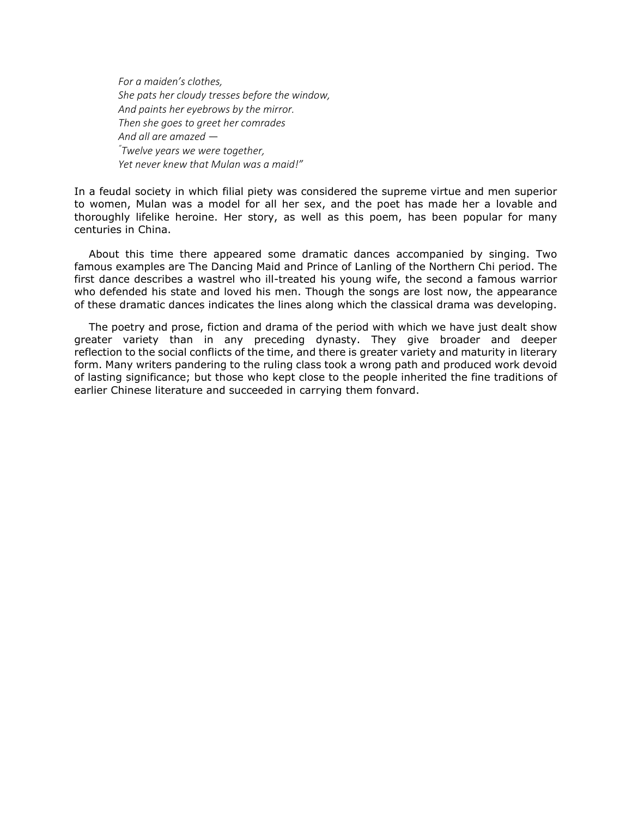*For a maiden's clothes, She pats her cloudy tresses before the window, And paints her eyebrows by the mirror. Then she goes to greet her comrades And all are amazed* — *"Twelve years we were together, Yet never knew that Mulan was a maid!"*

In a feudal society in which filial piety was considered the supreme virtue and men superior to women, Mulan was a model for all her sex, and the poet has made her a lovable and thoroughly lifelike heroine. Her story, as well as this poem, has been popular for many centuries in China.

About this time there appeared some dramatic dances accompanied by singing. Two famous examples are The Dancing Maid and Prince of Lanling of the Northern Chi period. The first dance describes a wastrel who ill-treated his young wife, the second a famous warrior who defended his state and loved his men. Though the songs are lost now, the appearance of these dramatic dances indicates the lines along which the classical drama was developing.

The poetry and prose, fiction and drama of the period with which we have just dealt show greater variety than in any preceding dynasty. They give broader and deeper reflection to the social conflicts of the time, and there is greater variety and maturity in literary form. Many writers pandering to the ruling class took a wrong path and produced work devoid of lasting significance; but those who kept close to the people inherited the fine traditions of earlier Chinese literature and succeeded in carrying them fonvard.